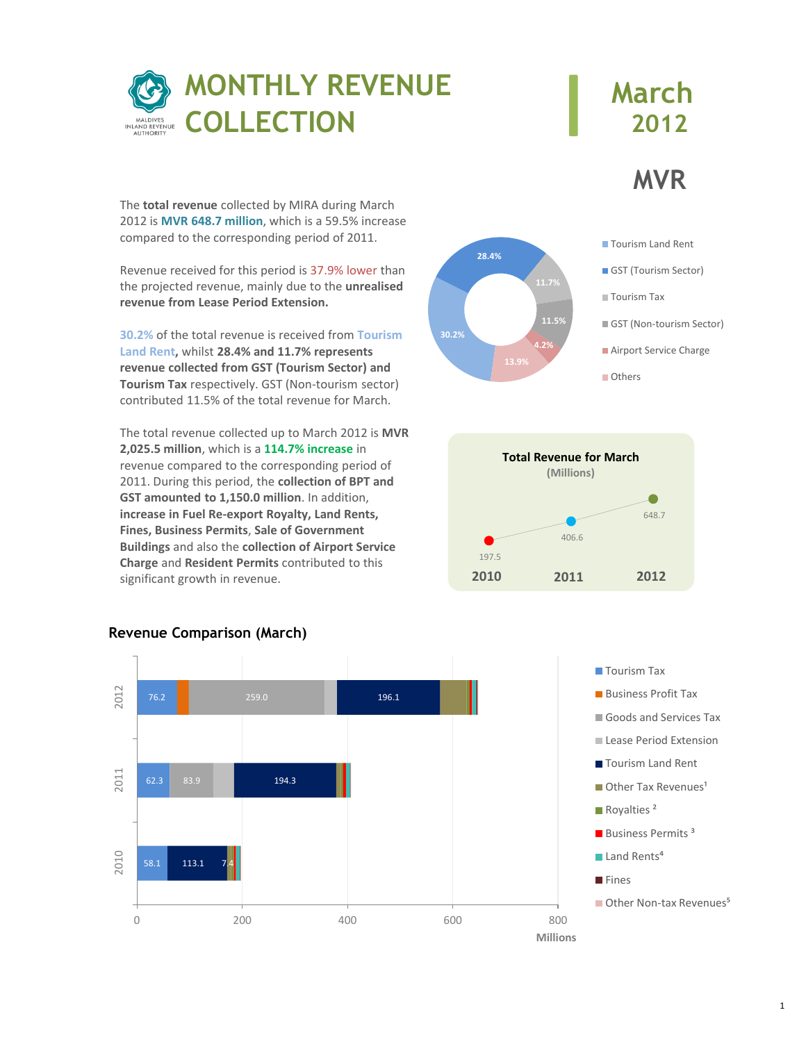

# **March 2012**

**MVR**

The **total revenue** collected by MIRA during March 2012 is **MVR 648.7 million**, which is a 59.5% increase compared to the corresponding period of 2011.

Revenue received for this period is 37.9% lower than the projected revenue, mainly due to the **unrealised revenue from Lease Period Extension.**

**30.2%** of the total revenue is received from **Tourism Land Rent,** whilst **28.4% and 11.7% represents revenue collected from GST (Tourism Sector) and Tourism Tax** respectively. GST (Non-tourism sector) contributed 11.5% of the total revenue for March.

The total revenue collected up to March 2012 is **MVR 2,025.5 million**, which is a **114.7% increase** in revenue compared to the corresponding period of 2011. During this period, the **collection of BPT and GST amounted to 1,150.0 million**. In addition, **increase in Fuel Re-export Royalty, Land Rents, Fines, Business Permits**, **Sale of Government Buildings** and also the **collection of Airport Service Charge** and **Resident Permits** contributed to this significant growth in revenue.









### **Revenue Comparison (March)**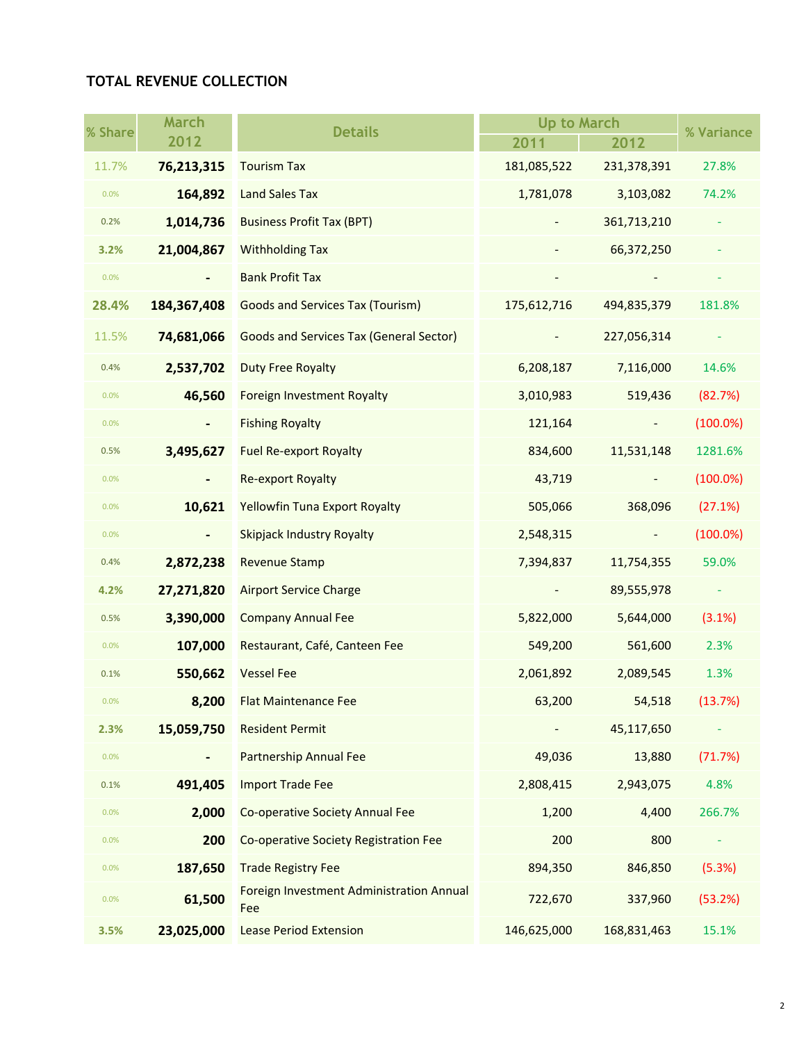## **TOTAL REVENUE COLLECTION**

| % Share | <b>March</b>   | <b>Details</b>                                  | <b>Up to March</b> |                | % Variance  |
|---------|----------------|-------------------------------------------------|--------------------|----------------|-------------|
|         | 2012           |                                                 | 2011               | 2012           |             |
| 11.7%   | 76,213,315     | <b>Tourism Tax</b>                              | 181,085,522        | 231,378,391    | 27.8%       |
| 0.0%    | 164,892        | <b>Land Sales Tax</b>                           | 1,781,078          | 3,103,082      | 74.2%       |
| 0.2%    | 1,014,736      | <b>Business Profit Tax (BPT)</b>                |                    | 361,713,210    |             |
| 3.2%    | 21,004,867     | <b>Withholding Tax</b>                          |                    | 66,372,250     |             |
| 0.0%    |                | <b>Bank Profit Tax</b>                          |                    |                |             |
| 28.4%   | 184, 367, 408  | <b>Goods and Services Tax (Tourism)</b>         | 175,612,716        | 494,835,379    | 181.8%      |
| 11.5%   | 74,681,066     | <b>Goods and Services Tax (General Sector)</b>  |                    | 227,056,314    |             |
| 0.4%    | 2,537,702      | <b>Duty Free Royalty</b>                        | 6,208,187          | 7,116,000      | 14.6%       |
| 0.0%    | 46,560         | <b>Foreign Investment Royalty</b>               | 3,010,983          | 519,436        | (82.7%)     |
| 0.0%    | $\blacksquare$ | <b>Fishing Royalty</b>                          | 121,164            | $\blacksquare$ | $(100.0\%)$ |
| 0.5%    | 3,495,627      | <b>Fuel Re-export Royalty</b>                   | 834,600            | 11,531,148     | 1281.6%     |
| 0.0%    |                | <b>Re-export Royalty</b>                        | 43,719             |                | $(100.0\%)$ |
| 0.0%    | 10,621         | <b>Yellowfin Tuna Export Royalty</b>            | 505,066            | 368,096        | (27.1%)     |
| 0.0%    |                | <b>Skipjack Industry Royalty</b>                | 2,548,315          |                | $(100.0\%)$ |
| 0.4%    | 2,872,238      | <b>Revenue Stamp</b>                            | 7,394,837          | 11,754,355     | 59.0%       |
| 4.2%    | 27,271,820     | <b>Airport Service Charge</b>                   |                    | 89,555,978     | ÷           |
| 0.5%    | 3,390,000      | <b>Company Annual Fee</b>                       | 5,822,000          | 5,644,000      | (3.1%)      |
| 0.0%    | 107,000        | Restaurant, Café, Canteen Fee                   | 549,200            | 561,600        | 2.3%        |
| 0.1%    | 550,662        | <b>Vessel Fee</b>                               | 2,061,892          | 2,089,545      | 1.3%        |
| 0.0%    | 8,200          | <b>Flat Maintenance Fee</b>                     | 63,200             | 54,518         | (13.7%)     |
| 2.3%    | 15,059,750     | <b>Resident Permit</b>                          |                    | 45,117,650     |             |
| 0.0%    | $\blacksquare$ | <b>Partnership Annual Fee</b>                   | 49,036             | 13,880         | (71.7%)     |
| 0.1%    | 491,405        | <b>Import Trade Fee</b>                         | 2,808,415          | 2,943,075      | 4.8%        |
| 0.0%    | 2,000          | Co-operative Society Annual Fee                 | 1,200              | 4,400          | 266.7%      |
| 0.0%    | 200            | Co-operative Society Registration Fee           | 200                | 800            |             |
| 0.0%    | 187,650        | <b>Trade Registry Fee</b>                       | 894,350            | 846,850        | (5.3%)      |
| 0.0%    | 61,500         | Foreign Investment Administration Annual<br>Fee | 722,670            | 337,960        | (53.2%)     |
| 3.5%    | 23,025,000     | <b>Lease Period Extension</b>                   | 146,625,000        | 168,831,463    | 15.1%       |